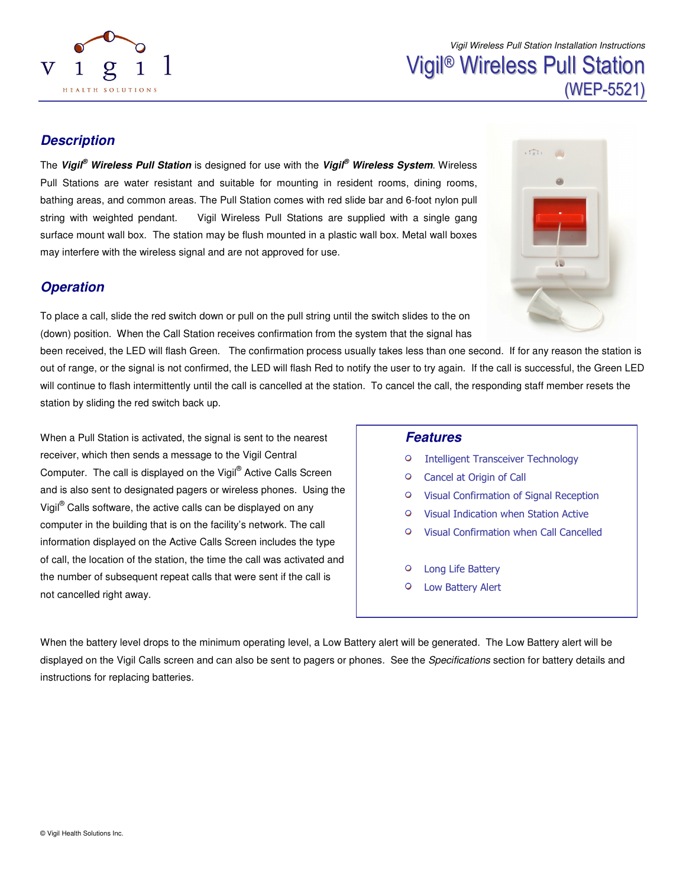

Vigil Wireless Pull Station Installation Instructions

# Vigil ® Wireless Pull Station (WEP-5521)

 $\sum_{i=1}^{n}$ 

### **Description**

The **Vigil® Wireless Pull Station** is designed for use with the **Vigil® Wireless System**. Wireless Pull Stations are water resistant and suitable for mounting in resident rooms, dining rooms, bathing areas, and common areas. The Pull Station comes with red slide bar and 6-foot nylon pull string with weighted pendant. Vigil Wireless Pull Stations are supplied with a single gang surface mount wall box. The station may be flush mounted in a plastic wall box. Metal wall boxes may interfere with the wireless signal and are not approved for use.

### **Operation**

To place a call, slide the red switch down or pull on the pull string until the switch slides to the on (down) position. When the Call Station receives confirmation from the system that the signal has



When a Pull Station is activated, the signal is sent to the nearest receiver, which then sends a message to the Vigil Central Computer. The call is displayed on the Vigil® Active Calls Screen and is also sent to designated pagers or wireless phones. Using the Vigil® Calls software, the active calls can be displayed on any computer in the building that is on the facility's network. The call information displayed on the Active Calls Screen includes the type of call, the location of the station, the time the call was activated and the number of subsequent repeat calls that were sent if the call is not cancelled right away.

#### **Features**

- $\circ$ Intelligent Transceiver Technology
- $\circ$ Cancel at Origin of Call
- $\circ$ Visual Confirmation of Signal Reception
- Visual Indication when Station Active  $\circ$
- $\Omega$ Visual Confirmation when Call Cancelled
- $\circ$ Long Life Battery
- $\circ$ Low Battery Alert

When the battery level drops to the minimum operating level, a Low Battery alert will be generated. The Low Battery alert will be displayed on the Vigil Calls screen and can also be sent to pagers or phones. See the Specifications section for battery details and instructions for replacing batteries.